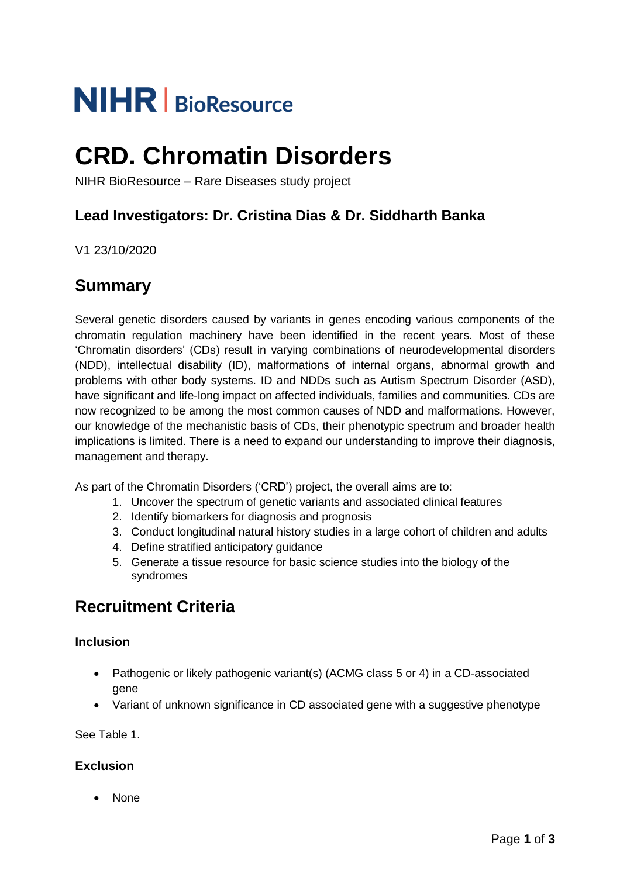# **NIHR** | BioResource

# **CRD. Chromatin Disorders**

NIHR BioResource – Rare Diseases study project

#### **Lead Investigators: Dr. Cristina Dias & Dr. Siddharth Banka**

V1 23/10/2020

#### **Summary**

Several genetic disorders caused by variants in genes encoding various components of the chromatin regulation machinery have been identified in the recent years. Most of these 'Chromatin disorders' (CDs) result in varying combinations of neurodevelopmental disorders (NDD), intellectual disability (ID), malformations of internal organs, abnormal growth and problems with other body systems. ID and NDDs such as Autism Spectrum Disorder (ASD), have significant and life-long impact on affected individuals, families and communities. CDs are now recognized to be among the most common causes of NDD and malformations. However, our knowledge of the mechanistic basis of CDs, their phenotypic spectrum and broader health implications is limited. There is a need to expand our understanding to improve their diagnosis, management and therapy.

As part of the Chromatin Disorders ('CRD') project, the overall aims are to:

- 1. Uncover the spectrum of genetic variants and associated clinical features
- 2. Identify biomarkers for diagnosis and prognosis
- 3. Conduct longitudinal natural history studies in a large cohort of children and adults
- 4. Define stratified anticipatory guidance
- 5. Generate a tissue resource for basic science studies into the biology of the syndromes

### **Recruitment Criteria**

#### **Inclusion**

- Pathogenic or likely pathogenic variant(s) (ACMG class 5 or 4) in a CD-associated gene
- Variant of unknown significance in CD associated gene with a suggestive phenotype

See Table 1.

#### **Exclusion**

• None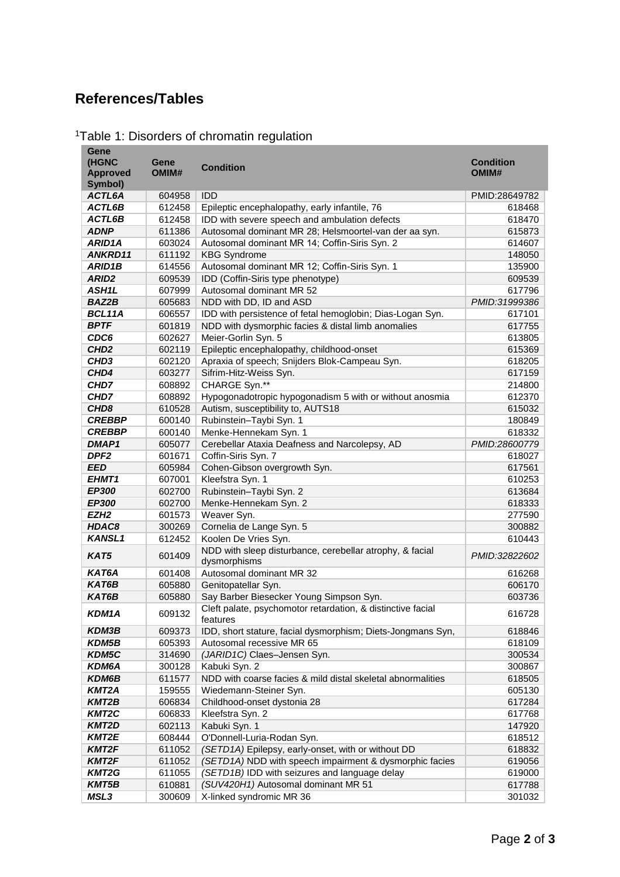## **References/Tables**

**Gene** 

| <sup>1</sup> Table 1: Disorders of chromatin regulation |  |  |  |
|---------------------------------------------------------|--|--|--|
|---------------------------------------------------------|--|--|--|

| Gene<br>(HGNC<br><b>Approved</b><br>Symbol) | Gene<br>OMIM#    | <b>Condition</b>                                                                                 | <b>Condition</b><br>OMIM# |
|---------------------------------------------|------------------|--------------------------------------------------------------------------------------------------|---------------------------|
| ACTL6A                                      | 604958           | <b>IDD</b>                                                                                       | PMID:28649782             |
| ACTL6B                                      | 612458           | Epileptic encephalopathy, early infantile, 76                                                    | 618468                    |
| ACTL6B                                      | 612458           | IDD with severe speech and ambulation defects                                                    | 618470                    |
| <b>ADNP</b>                                 | 611386           | Autosomal dominant MR 28; Helsmoortel-van der aa syn.                                            | 615873                    |
| ARID1A                                      | 603024           | Autosomal dominant MR 14; Coffin-Siris Syn. 2                                                    | 614607                    |
| ANKRD11                                     | 611192           | <b>KBG Syndrome</b>                                                                              | 148050                    |
| <b>ARID1B</b>                               | 614556           | Autosomal dominant MR 12; Coffin-Siris Syn. 1                                                    | 135900                    |
| ARID <sub>2</sub>                           | 609539           | IDD (Coffin-Siris type phenotype)                                                                | 609539                    |
| ASH1L                                       | 607999           | Autosomal dominant MR 52                                                                         | 617796                    |
| <b>BAZ2B</b>                                | 605683           | NDD with DD, ID and ASD                                                                          | PMID:31999386             |
| BCL11A                                      | 606557           | IDD with persistence of fetal hemoglobin; Dias-Logan Syn.                                        | 617101                    |
| <b>BPTF</b>                                 | 601819           | NDD with dysmorphic facies & distal limb anomalies                                               | 617755                    |
| CDC6                                        | 602627           | Meier-Gorlin Syn. 5                                                                              | 613805                    |
| CHD <sub>2</sub>                            | 602119           | Epileptic encephalopathy, childhood-onset                                                        | 615369                    |
| CHD <sub>3</sub>                            | 602120           | Apraxia of speech; Snijders Blok-Campeau Syn.                                                    | 618205                    |
| CHD4                                        | 603277           | Sifrim-Hitz-Weiss Syn.                                                                           | 617159                    |
| CHD7                                        | 608892           | CHARGE Syn.**                                                                                    | 214800                    |
| CHD7                                        | 608892           | Hypogonadotropic hypogonadism 5 with or without anosmia                                          | 612370                    |
| CHD <sub>8</sub>                            | 610528           | Autism, susceptibility to, AUTS18                                                                | 615032                    |
| <b>CREBBP</b>                               | 600140           | Rubinstein-Taybi Syn. 1                                                                          | 180849                    |
| <b>CREBBP</b>                               | 600140           | Menke-Hennekam Syn. 1                                                                            | 618332                    |
| <b>DMAP1</b>                                | 605077           | Cerebellar Ataxia Deafness and Narcolepsy, AD                                                    | PMID:28600779             |
| DPF <sub>2</sub>                            | 601671           | Coffin-Siris Syn. 7                                                                              | 618027                    |
| <b>EED</b>                                  | 605984           | Cohen-Gibson overgrowth Syn.                                                                     | 617561                    |
| EHMT1                                       | 607001           | Kleefstra Syn. 1                                                                                 | 610253                    |
| EP300                                       | 602700           | Rubinstein-Taybi Syn. 2                                                                          | 613684                    |
| EP300                                       | 602700           | Menke-Hennekam Syn. 2                                                                            | 618333                    |
| EZH <sub>2</sub>                            | 601573           | Weaver Syn.                                                                                      | 277590                    |
| HDAC8<br><b>KANSL1</b>                      | 300269           | Cornelia de Lange Syn. 5                                                                         | 300882                    |
| KAT5                                        | 612452<br>601409 | Koolen De Vries Syn.<br>NDD with sleep disturbance, cerebellar atrophy, & facial<br>dysmorphisms | 610443<br>PMID:32822602   |
| KAT6A                                       | 601408           | Autosomal dominant MR 32                                                                         | 616268                    |
| KAT6B                                       | 605880           | Genitopatellar Syn.                                                                              | 606170                    |
| KAT6B                                       | 605880           | Say Barber Biesecker Young Simpson Syn.                                                          | 603736                    |
| KDM1A                                       | 609132           | Cleft palate, psychomotor retardation, & distinctive facial<br>reatures                          | 616728                    |
| <b>KDM3B</b>                                | 609373           | IDD, short stature, facial dysmorphism; Diets-Jongmans Syn,                                      | 618846                    |
| <b>KDM5B</b>                                | 605393           | Autosomal recessive MR 65                                                                        | 618109                    |
| KDM5C                                       | 314690           | (JARID1C) Claes-Jensen Syn.                                                                      | 300534                    |
| <b>KDM6A</b>                                | 300128           | Kabuki Syn. 2                                                                                    | 300867                    |
| KDM6B                                       | 611577           | NDD with coarse facies & mild distal skeletal abnormalities                                      | 618505                    |
| KMT2A                                       | 159555           | Wiedemann-Steiner Syn.                                                                           | 605130                    |
| <b>KMT2B</b>                                | 606834           | Childhood-onset dystonia 28                                                                      | 617284                    |
| KMT2C                                       | 606833           | Kleefstra Syn. 2                                                                                 | 617768                    |
| KMT2D                                       | 602113           | Kabuki Syn. 1<br>O'Donnell-Luria-Rodan Syn.                                                      | 147920                    |
| KMT2E<br>KMT2F                              | 608444<br>611052 | (SETD1A) Epilepsy, early-onset, with or without DD                                               | 618512<br>618832          |
| <b>KMT2F</b>                                | 611052           | (SETD1A) NDD with speech impairment & dysmorphic facies                                          | 619056                    |
| <b>KMT2G</b>                                | 611055           | (SETD1B) IDD with seizures and language delay                                                    | 619000                    |
| <b>KMT5B</b>                                | 610881           | (SUV420H1) Autosomal dominant MR 51                                                              | 617788                    |
| MSL3                                        | 300609           | X-linked syndromic MR 36                                                                         | 301032                    |

and the state of the state of the state of the